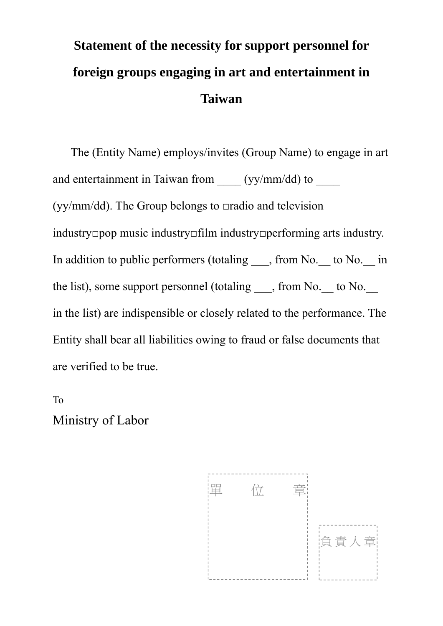## **Statement of the necessity for support personnel for foreign groups engaging in art and entertainment in Taiwan**

 The (Entity Name) employs/invites (Group Name) to engage in art and entertainment in Taiwan from \_\_\_\_ (yy/mm/dd) to \_\_\_\_\_ (yy/mm/dd). The Group belongs to  $\Box$ radio and television industry□pop music industry□film industry□performing arts industry. In addition to public performers (totaling \_\_\_, from No. \_\_ to No. \_\_ in the list), some support personnel (totaling \_\_\_, from No. \_\_ to No. \_\_ in the list) are indispensible or closely related to the performance. The Entity shall bear all liabilities owing to fraud or false documents that are verified to be true.

To Ministry of Labor

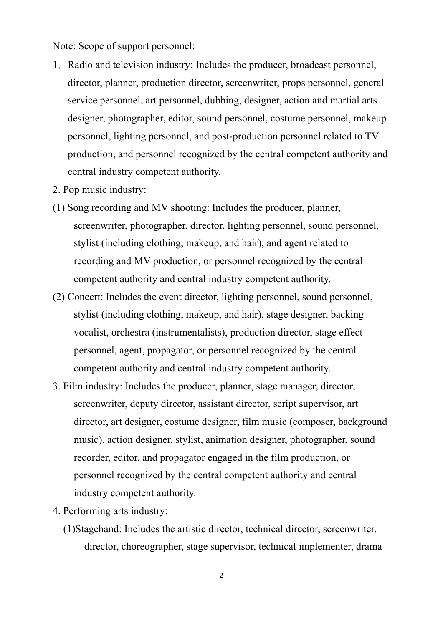Note: Scope of support personnel:

- 1. Radio and television industry: Includes the producer, broadcast personnel, director, planner, production director, screenwriter, props personnel, general service personnel, art personnel, dubbing, designer, action and martial arts designer, photographer, editor, sound personnel, costume personnel, makeup personnel, lighting personnel, and post-production personnel related to TV production, and personnel recognized by the central competent authority and central industry competent authority.
- 2. Pop music industry:
- (1) Song recording and MV shooting: Includes the producer, planner, screenwriter, photographer, director, lighting personnel, sound personnel, stylist (including clothing, makeup, and hair), and agent related to recording and MV production, or personnel recognized by the central competent authority and central industry competent authority.
- (2) Concert: Includes the event director, lighting personnel, sound personnel, stylist (including clothing, makeup, and hair), stage designer, backing vocalist, orchestra (instrumentalists), production director, stage effect personnel, agent, propagator, or personnel recognized by the central competent authority and central industry competent authority.
- 3. Film industry: Includes the producer, planner, stage manager, director, screenwriter, deputy director, assistant director, script supervisor, art director, art designer, costume designer, film music (composer, background music), action designer, stylist, animation designer, photographer, sound recorder, editor, and propagator engaged in the film production, or personnel recognized by the central competent authority and central industry competent authority.
- 4. Performing arts industry:
	- (1)Stagehand: Includes the artistic director, technical director, screenwriter, director, choreographer, stage supervisor, technical implementer, drama